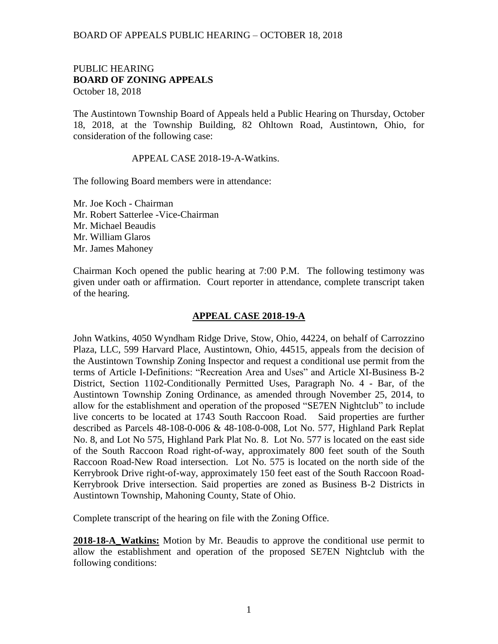## PUBLIC HEARING **BOARD OF ZONING APPEALS**  October 18, 2018

The Austintown Township Board of Appeals held a Public Hearing on Thursday, October 18, 2018, at the Township Building, 82 Ohltown Road, Austintown, Ohio, for consideration of the following case:

## APPEAL CASE 2018-19-A-Watkins.

The following Board members were in attendance:

Mr. Joe Koch - Chairman Mr. Robert Satterlee -Vice-Chairman Mr. Michael Beaudis Mr. William Glaros Mr. James Mahoney

Chairman Koch opened the public hearing at 7:00 P.M. The following testimony was given under oath or affirmation. Court reporter in attendance, complete transcript taken of the hearing.

## **APPEAL CASE 2018-19-A**

John Watkins, 4050 Wyndham Ridge Drive, Stow, Ohio, 44224, on behalf of Carrozzino Plaza, LLC, 599 Harvard Place, Austintown, Ohio, 44515, appeals from the decision of the Austintown Township Zoning Inspector and request a conditional use permit from the terms of Article I-Definitions: "Recreation Area and Uses" and Article XI-Business B-2 District, Section 1102-Conditionally Permitted Uses, Paragraph No. 4 - Bar, of the Austintown Township Zoning Ordinance, as amended through November 25, 2014, to allow for the establishment and operation of the proposed "SE7EN Nightclub" to include live concerts to be located at 1743 South Raccoon Road. Said properties are further described as Parcels 48-108-0-006 & 48-108-0-008, Lot No. 577, Highland Park Replat No. 8, and Lot No 575, Highland Park Plat No. 8. Lot No. 577 is located on the east side of the South Raccoon Road right-of-way, approximately 800 feet south of the South Raccoon Road-New Road intersection. Lot No. 575 is located on the north side of the Kerrybrook Drive right-of-way, approximately 150 feet east of the South Raccoon Road-Kerrybrook Drive intersection. Said properties are zoned as Business B-2 Districts in Austintown Township, Mahoning County, State of Ohio.

Complete transcript of the hearing on file with the Zoning Office.

**2018-18-A\_Watkins:** Motion by Mr. Beaudis to approve the conditional use permit to allow the establishment and operation of the proposed SE7EN Nightclub with the following conditions: